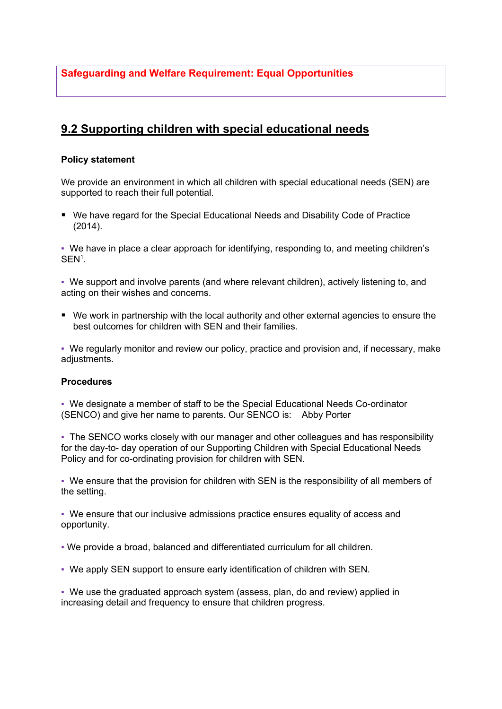**Safeguarding and Welfare Requirement: Equal Opportunities**

## **9.2 Supporting children with special educational needs**

## **Policy statement**

We provide an environment in which all children with special educational needs (SEN) are supported to reach their full potential.

■ We have regard for the Special Educational Needs and Disability Code of Practice (2014).

▪ We have in place a clear approach for identifying, responding to, and meeting children's  $\mathsf{SEN}^1$ .

▪ We support and involve parents (and where relevant children), actively listening to, and acting on their wishes and concerns.

■ We work in partnership with the local authority and other external agencies to ensure the best outcomes for children with SEN and their families.

▪ We regularly monitor and review our policy, practice and provision and, if necessary, make adjustments.

## **Procedures**

▪ We designate a member of staff to be the Special Educational Needs Co-ordinator (SENCO) and give her name to parents. Our SENCO is: Abby Porter

• The SENCO works closely with our manager and other colleagues and has responsibility for the day-to- day operation of our Supporting Children with Special Educational Needs Policy and for co-ordinating provision for children with SEN.

▪ We ensure that the provision for children with SEN is the responsibility of all members of the setting.

▪ We ensure that our inclusive admissions practice ensures equality of access and opportunity.

▪ We provide a broad, balanced and differentiated curriculum for all children.

▪ We apply SEN support to ensure early identification of children with SEN.

▪ We use the graduated approach system (assess, plan, do and review) applied in increasing detail and frequency to ensure that children progress.